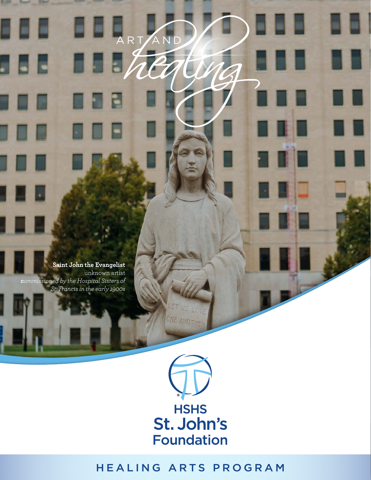**Saint John the Evangelist** unknown artist **c***ommissioned by the Hospital Sisters of St. Francis in the early 1900s*

8 G G

5 B B

ARTAN

П



88

88 B

▣

## HEALING ARTS PROGRAM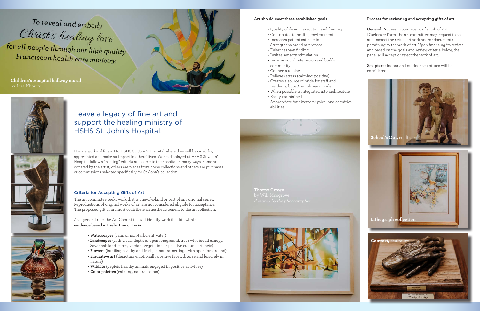### **Art should meet these established goals:**

- Quality of design, execution and framing
- Contributes to healing environment
- Increases patient satisfaction
- Strengthens brand awareness
- Enhances way finding
- Invites sensory stimulation
- Inspires social interaction and builds community
- Connects to place
- Relieves stress (calming, positive) • Creates a source of pride for staff and
- residents, boostS employee morale
- When possible is integrated into architecture
- Easily maintained
- Appropriate for diverse physical and cognitive abilities

Donate works of fine art to HSHS St. John's Hospital where they will be cared for, appreciated and make an impact in others' lives. Works displayed at HSHS St. John's Hospital follow a "healing" criteria and come to the hospital in many ways. Some are donated by the artist, others are pieces from home collections and others are purchases or commissions selected specifically for St. John's collection.

## Criteria for Accepting Gifts of Art

The art committee seeks work that is one-of-a-kind or part of any original series. Reproductions of original works of art are not considered eligible for acceptance. The proposed gift of art must contribute an aesthetic benefit to the art collection.

As a general rule, the Art Committee will identify work that fits within **evidence based art selection criteria:**

- **Waterscapes** (calm or non-turbulent water)
- **Landscapes** (with visual depth or open foreground, trees with broad canopy, Savannah landscapes, verdant vegetation or positive cultural artifacts)
- **Flowers** (familiar, healthy and fresh, in natural settings with open foreground),
- **Figurative art** (depicting emotionally positive faces, diverse and leisurely in nature)
- **Wildlife** (depicts healthy animals engaged in positive activities)
- **Color palettes** (calming, natural colors)

# Leave a legacy of fine art and support the healing ministry of HSHS St. John's Hospital.

#### **Process for reviewing and accepting gifts of art:**

**General Process:** Upon receipt of a Gift of Art Disclosure Form, the art committee may request to see and inspect the actual artwork and/or documents pertaining to the work of art. Upon finalizing its review and based on the goals and review criteria below, the panel will accept or reject the work of art.

**Sculpture:** Indoor and outdoor sculptures will be considered.

To reveal and embody Christ's healing love for all people through our high quality Franciscan health care ministry.

**Children's Hospital hallway mural** by Lisa Khoury







**Thorny Crown**





In Loving Memory of<br>Shirley Sankey